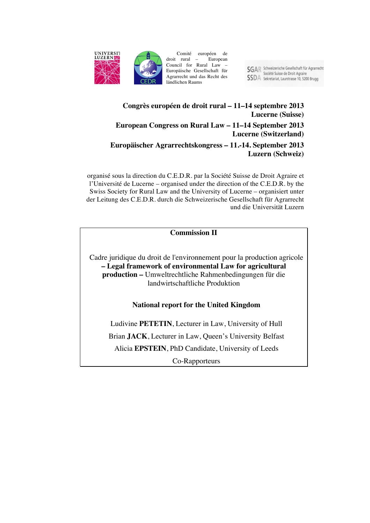

Comité européen de<br>rural – European droit rural – Council for Rural Law – Europäische Gesellschaft für Agrarrecht und das Recht des ländlichen Raums

SGAR Schweizerische Gesellschaft für Agrarrecht<br>Société Suisse de Droit Agraire **SSDA** Sekretariat, Laurstrasse 10, 5200 Brugg

## **Congrès européen de droit rural – 11–14 septembre 2013 Lucerne (Suisse)**

## **European Congress on Rural Law – 11–14 September 2013 Lucerne (Switzerland)**

## **Europäischer Agrarrechtskongress – 11.-14. September 2013 Luzern (Schweiz)**

organisé sous la direction du C.E.D.R. par la Société Suisse de Droit Agraire et l'Université de Lucerne – organised under the direction of the C.E.D.R. by the Swiss Society for Rural Law and the University of Lucerne – organisiert unter der Leitung des C.E.D.R. durch die Schweizerische Gesellschaft für Agrarrecht und die Universität Luzern

## **Commission II**

Cadre juridique du droit de l'environnement pour la production agricole **– Legal framework of environmental Law for agricultural production –** Umweltrechtliche Rahmenbedingungen für die landwirtschaftliche Produktion

# **National report for the United Kingdom**

Ludivine **PETETIN**, Lecturer in Law, University of Hull Brian **JACK**, Lecturer in Law, Queen's University Belfast Alicia **EPSTEIN**, PhD Candidate, University of Leeds

Co-Rapporteurs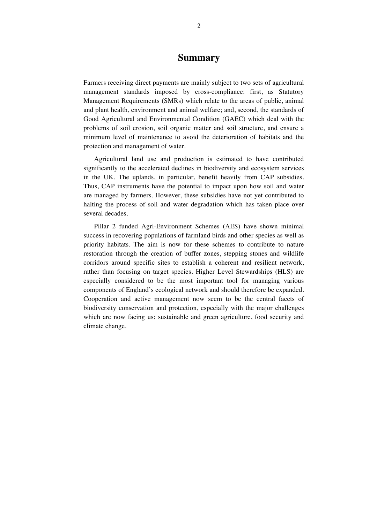## **Summary**

Farmers receiving direct payments are mainly subject to two sets of agricultural management standards imposed by cross-compliance: first, as Statutory Management Requirements (SMRs) which relate to the areas of public, animal and plant health, environment and animal welfare; and, second, the standards of Good Agricultural and Environmental Condition (GAEC) which deal with the problems of soil erosion, soil organic matter and soil structure, and ensure a minimum level of maintenance to avoid the deterioration of habitats and the protection and management of water.

Agricultural land use and production is estimated to have contributed significantly to the accelerated declines in biodiversity and ecosystem services in the UK. The uplands, in particular, benefit heavily from CAP subsidies. Thus, CAP instruments have the potential to impact upon how soil and water are managed by farmers. However, these subsidies have not yet contributed to halting the process of soil and water degradation which has taken place over several decades.

Pillar 2 funded Agri-Environment Schemes (AES) have shown minimal success in recovering populations of farmland birds and other species as well as priority habitats. The aim is now for these schemes to contribute to nature restoration through the creation of buffer zones, stepping stones and wildlife corridors around specific sites to establish a coherent and resilient network, rather than focusing on target species. Higher Level Stewardships (HLS) are especially considered to be the most important tool for managing various components of England's ecological network and should therefore be expanded. Cooperation and active management now seem to be the central facets of biodiversity conservation and protection, especially with the major challenges which are now facing us: sustainable and green agriculture, food security and climate change.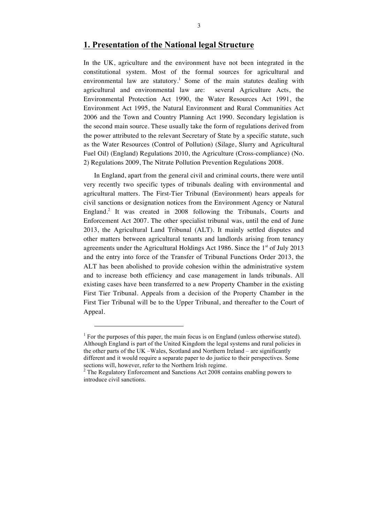## **1. Presentation of the National legal Structure**

In the UK, agriculture and the environment have not been integrated in the constitutional system. Most of the formal sources for agricultural and environmental law are statutory.<sup>1</sup> Some of the main statutes dealing with agricultural and environmental law are: several Agriculture Acts, the Environmental Protection Act 1990, the Water Resources Act 1991, the Environment Act 1995, the Natural Environment and Rural Communities Act 2006 and the Town and Country Planning Act 1990. Secondary legislation is the second main source. These usually take the form of regulations derived from the power attributed to the relevant Secretary of State by a specific statute, such as the Water Resources (Control of Pollution) (Silage, Slurry and Agricultural Fuel Oil) (England) Regulations 2010, the Agriculture (Cross-compliance) (No. 2) Regulations 2009, The Nitrate Pollution Prevention Regulations 2008.

In England, apart from the general civil and criminal courts, there were until very recently two specific types of tribunals dealing with environmental and agricultural matters. The First-Tier Tribunal (Environment) hears appeals for civil sanctions or designation notices from the Environment Agency or Natural England.<sup>2</sup> It was created in 2008 following the Tribunals, Courts and Enforcement Act 2007. The other specialist tribunal was, until the end of June 2013, the Agricultural Land Tribunal (ALT). It mainly settled disputes and other matters between agricultural tenants and landlords arising from tenancy agreements under the Agricultural Holdings Act 1986. Since the  $1<sup>st</sup>$  of July 2013 and the entry into force of the Transfer of Tribunal Functions Order 2013, the ALT has been abolished to provide cohesion within the administrative system and to increase both efficiency and case management in lands tribunals. All existing cases have been transferred to a new Property Chamber in the existing First Tier Tribunal. Appeals from a decision of the Property Chamber in the First Tier Tribunal will be to the Upper Tribunal, and thereafter to the Court of Appeal.

 $1$  For the purposes of this paper, the main focus is on England (unless otherwise stated). Although England is part of the United Kingdom the legal systems and rural policies in the other parts of the UK –Wales, Scotland and Northern Ireland – are significantly different and it would require a separate paper to do justice to their perspectives. Some sections will, however, refer to the Northern Irish regime.<br><sup>2</sup> The Regulatory Enforcement and Sanctions Act 2008 contains enabling powers to

introduce civil sanctions.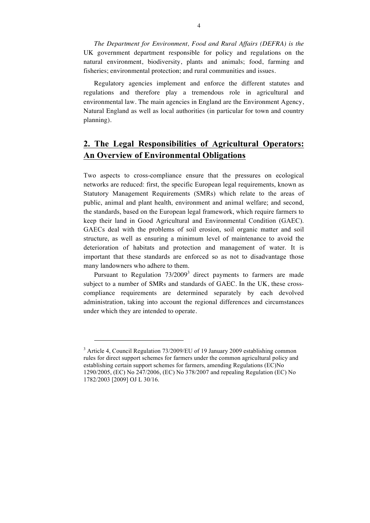*The Department for Environment, Food and Rural Affairs (DEFRA) is the* UK government department responsible for policy and regulations on the natural environment, biodiversity, plants and animals; food, farming and fisheries; environmental protection; and rural communities and issues.

Regulatory agencies implement and enforce the different statutes and regulations and therefore play a tremendous role in agricultural and environmental law. The main agencies in England are the Environment Agency, Natural England as well as local authorities (in particular for town and country planning).

# **2. The Legal Responsibilities of Agricultural Operators: An Overview of Environmental Obligations**

Two aspects to cross-compliance ensure that the pressures on ecological networks are reduced: first, the specific European legal requirements, known as Statutory Management Requirements (SMRs) which relate to the areas of public, animal and plant health, environment and animal welfare; and second, the standards, based on the European legal framework, which require farmers to keep their land in Good Agricultural and Environmental Condition (GAEC). GAECs deal with the problems of soil erosion, soil organic matter and soil structure, as well as ensuring a minimum level of maintenance to avoid the deterioration of habitats and protection and management of water. It is important that these standards are enforced so as not to disadvantage those many landowners who adhere to them.

Pursuant to Regulation  $73/2009<sup>3</sup>$  direct payments to farmers are made subject to a number of SMRs and standards of GAEC. In the UK, these crosscompliance requirements are determined separately by each devolved administration, taking into account the regional differences and circumstances under which they are intended to operate.

 $3$  Article 4, Council Regulation 73/2009/EU of 19 January 2009 establishing common rules for direct support schemes for farmers under the common agricultural policy and establishing certain support schemes for farmers, amending Regulations (EC)No 1290/2005, (EC) No 247/2006, (EC) No 378/2007 and repealing Regulation (EC) No 1782/2003 [2009] OJ L 30/16.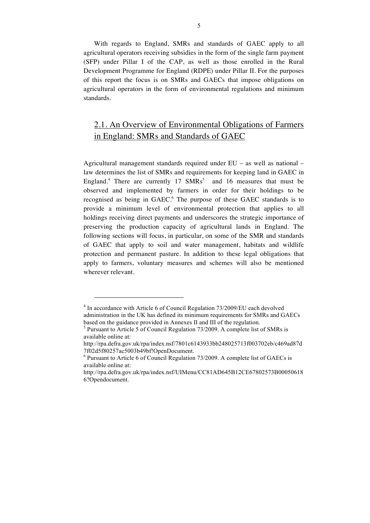With regards to England, SMRs and standards of GAEC apply to all agricultural operators receiving subsidies in the form of the single farm payment (SFP) under Pillar I of the CAP, as well as those enrolled in the Rural Development Programme for England (RDPE) under Pillar II. For the purposes of this report the focus is on SMRs and GAECs that impose obligations on agricultural operators in the form of environmental regulations and minimum standards.

# 2.1. An Overview of Environmental Obligations of Farmers in England: SMRs and Standards of GAEC

Agricultural management standards required under EU – as well as national – law determines the list of SMRs and requirements for keeping land in GAEC in England.<sup>4</sup> There are currently 17  $SMRs<sup>5</sup>$  and 16 measures that must be observed and implemented by farmers in order for their holdings to be recognised as being in GAEC.<sup>6</sup> The purpose of these GAEC standards is to provide a minimum level of environmental protection that applies to all holdings receiving direct payments and underscores the strategic importance of preserving the production capacity of agricultural lands in England. The following sections will focus, in particular, on some of the SMR and standards of GAEC that apply to soil and water management, habitats and wildlife protection and permanent pasture. In addition to these legal obligations that apply to farmers, voluntary measures and schemes will also be mentioned wherever relevant.

<sup>&</sup>lt;sup>4</sup> In accordance with Article 6 of Council Regulation 73/2009/EU each devolved administration in the UK has defined its minimum requirements for SMRs and GAECs based on the guidance provided in Annexes II and III of the regulation.

<sup>&</sup>lt;sup>5</sup> Pursuant to Article 5 of Council Regulation 73/2009. A complete list of SMRs is available online at:

http://rpa.defra.gov.uk/rpa/index.nsf/7801c6143933bb248025713f003702eb/c469ad87d 7f02d5f80257ac5003b49bf!OpenDocument.

<sup>6</sup> Pursuant to Article 6 of Council Regulation 73/2009. A complete list of GAECs is available online at:

http://rpa.defra.gov.uk/rpa/index.nsf/UIMenu/CC81AD645B12CE67802573B00050618 6?Opendocument.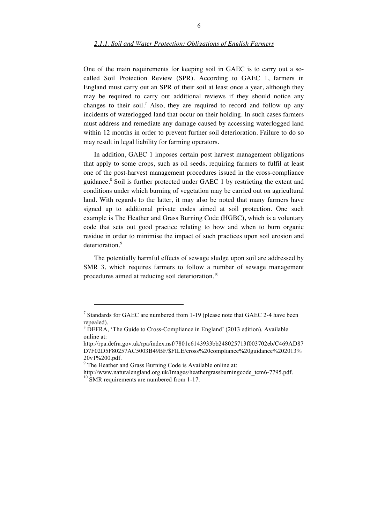One of the main requirements for keeping soil in GAEC is to carry out a socalled Soil Protection Review (SPR). According to GAEC 1, farmers in England must carry out an SPR of their soil at least once a year, although they may be required to carry out additional reviews if they should notice any changes to their soil.<sup>7</sup> Also, they are required to record and follow up any incidents of waterlogged land that occur on their holding. In such cases farmers must address and remediate any damage caused by accessing waterlogged land within 12 months in order to prevent further soil deterioration. Failure to do so may result in legal liability for farming operators.

In addition, GAEC 1 imposes certain post harvest management obligations that apply to some crops, such as oil seeds, requiring farmers to fulfil at least one of the post-harvest management procedures issued in the cross-compliance guidance.<sup>8</sup> Soil is further protected under GAEC 1 by restricting the extent and conditions under which burning of vegetation may be carried out on agricultural land. With regards to the latter, it may also be noted that many farmers have signed up to additional private codes aimed at soil protection. One such example is The Heather and Grass Burning Code (HGBC), which is a voluntary code that sets out good practice relating to how and when to burn organic residue in order to minimise the impact of such practices upon soil erosion and deterioration.<sup>9</sup>

The potentially harmful effects of sewage sludge upon soil are addressed by SMR 3, which requires farmers to follow a number of sewage management procedures aimed at reducing soil deterioration.<sup>10</sup>

<sup>&</sup>lt;sup>7</sup> Standards for GAEC are numbered from 1-19 (please note that GAEC 2-4 have been repealed).

<sup>&</sup>lt;sup>8</sup> DEFRA, 'The Guide to Cross-Compliance in England' (2013 edition). Available online at:

http://rpa.defra.gov.uk/rpa/index.nsf/7801c6143933bb248025713f003702eb/C469AD87 D7F02D5F80257AC5003B49BF/\$FILE/cross%20compliance%20guidance%202013% 20v1%200.pdf.

<sup>&</sup>lt;sup>9</sup> The Heather and Grass Burning Code is Available online at:

http://www.naturalengland.org.uk/Images/heathergrassburningcode\_tcm6-7795.pdf. <sup>10</sup> SMR requirements are numbered from 1-17.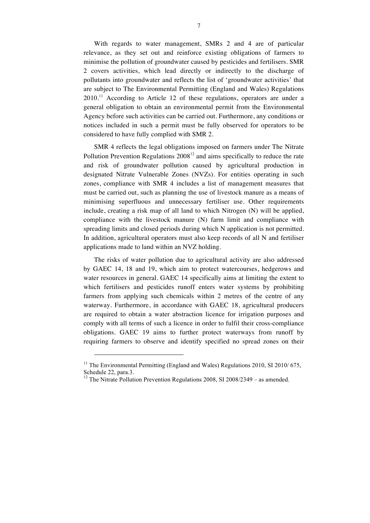With regards to water management, SMRs 2 and 4 are of particular relevance, as they set out and reinforce existing obligations of farmers to minimise the pollution of groundwater caused by pesticides and fertilisers. SMR 2 covers activities, which lead directly or indirectly to the discharge of pollutants into groundwater and reflects the list of 'groundwater activities' that are subject to The Environmental Permitting (England and Wales) Regulations 2010.<sup>11</sup> According to Article 12 of these regulations, operators are under a general obligation to obtain an environmental permit from the Environmental Agency before such activities can be carried out. Furthermore, any conditions or notices included in such a permit must be fully observed for operators to be considered to have fully complied with SMR 2.

SMR 4 reflects the legal obligations imposed on farmers under The Nitrate Pollution Prevention Regulations  $2008^{12}$  and aims specifically to reduce the rate and risk of groundwater pollution caused by agricultural production in designated Nitrate Vulnerable Zones (NVZs). For entities operating in such zones, compliance with SMR 4 includes a list of management measures that must be carried out, such as planning the use of livestock manure as a means of minimising superfluous and unnecessary fertiliser use. Other requirements include, creating a risk map of all land to which Nitrogen (N) will be applied, compliance with the livestock manure (N) farm limit and compliance with spreading limits and closed periods during which N application is not permitted. In addition, agricultural operators must also keep records of all N and fertiliser applications made to land within an NVZ holding.

The risks of water pollution due to agricultural activity are also addressed by GAEC 14, 18 and 19, which aim to protect watercourses, hedgerows and water resources in general. GAEC 14 specifically aims at limiting the extent to which fertilisers and pesticides runoff enters water systems by prohibiting farmers from applying such chemicals within 2 metres of the centre of any waterway. Furthermore, in accordance with GAEC 18, agricultural producers are required to obtain a water abstraction licence for irrigation purposes and comply with all terms of such a licence in order to fulfil their cross-compliance obligations. GAEC 19 aims to further protect waterways from runoff by requiring farmers to observe and identify specified no spread zones on their

<sup>&</sup>lt;sup>11</sup> The Environmental Permitting (England and Wales) Regulations 2010, SI 2010/675, Schedule 22, para.3.

 $12$  The Nitrate Pollution Prevention Regulations 2008, SI 2008/2349 – as amended.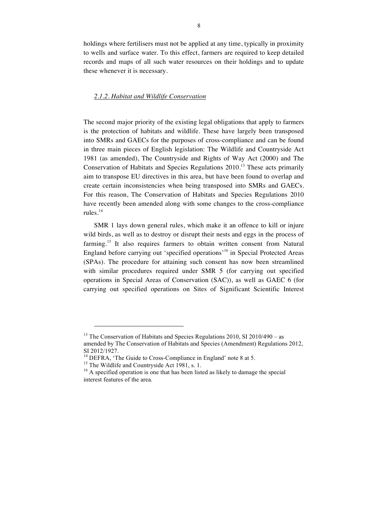holdings where fertilisers must not be applied at any time, typically in proximity to wells and surface water. To this effect, farmers are required to keep detailed records and maps of all such water resources on their holdings and to update these whenever it is necessary.

#### *2.1.2. Habitat and Wildlife Conservation*

The second major priority of the existing legal obligations that apply to farmers is the protection of habitats and wildlife. These have largely been transposed into SMRs and GAECs for the purposes of cross-compliance and can be found in three main pieces of English legislation: The Wildlife and Countryside Act 1981 (as amended), The Countryside and Rights of Way Act (2000) and The Conservation of Habitats and Species Regulations 2010.<sup>13</sup> These acts primarily aim to transpose EU directives in this area, but have been found to overlap and create certain inconsistencies when being transposed into SMRs and GAECs. For this reason, The Conservation of Habitats and Species Regulations 2010 have recently been amended along with some changes to the cross-compliance rules.<sup>14</sup>

SMR 1 lays down general rules, which make it an offence to kill or injure wild birds, as well as to destroy or disrupt their nests and eggs in the process of farming.<sup>15</sup> It also requires farmers to obtain written consent from Natural England before carrying out 'specified operations'<sup>16</sup> in Special Protected Areas (SPAs). The procedure for attaining such consent has now been streamlined with similar procedures required under SMR 5 (for carrying out specified operations in Special Areas of Conservation (SAC)), as well as GAEC 6 (for carrying out specified operations on Sites of Significant Scientific Interest

<sup>&</sup>lt;sup>13</sup> The Conservation of Habitats and Species Regulations 2010, SI 2010/490 – as amended by The Conservation of Habitats and Species (Amendment) Regulations 2012, SI 2012/1927.<br><sup>14</sup> DEFRA, 'The Guide to Cross-Compliance in England' note 8 at 5.<br><sup>15</sup> The Wildlife and Countryside Act 1981, s. 1.<br><sup>16</sup> A specified operation is one that has been listed as likely to damage the special

interest features of the area.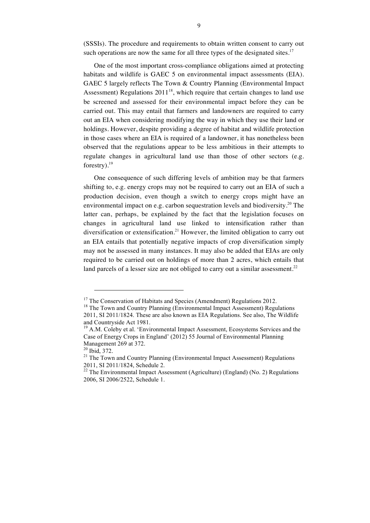(SSSIs). The procedure and requirements to obtain written consent to carry out such operations are now the same for all three types of the designated sites.<sup>17</sup>

One of the most important cross-compliance obligations aimed at protecting habitats and wildlife is GAEC 5 on environmental impact assessments (EIA). GAEC 5 largely reflects The Town & Country Planning (Environmental Impact Assessment) Regulations  $2011^{18}$ , which require that certain changes to land use be screened and assessed for their environmental impact before they can be carried out. This may entail that farmers and landowners are required to carry out an EIA when considering modifying the way in which they use their land or holdings. However, despite providing a degree of habitat and wildlife protection in those cases where an EIA is required of a landowner, it has nonetheless been observed that the regulations appear to be less ambitious in their attempts to regulate changes in agricultural land use than those of other sectors (e.g. forestry $).^{19}$ 

One consequence of such differing levels of ambition may be that farmers shifting to, e.g. energy crops may not be required to carry out an EIA of such a production decision, even though a switch to energy crops might have an environmental impact on e.g. carbon sequestration levels and biodiversity.<sup>20</sup> The latter can, perhaps, be explained by the fact that the legislation focuses on changes in agricultural land use linked to intensification rather than diversification or extensification.<sup>21</sup> However, the limited obligation to carry out an EIA entails that potentially negative impacts of crop diversification simply may not be assessed in many instances. It may also be added that EIAs are only required to be carried out on holdings of more than 2 acres, which entails that land parcels of a lesser size are not obliged to carry out a similar assessment.<sup>22</sup>

<sup>&</sup>lt;sup>17</sup> The Conservation of Habitats and Species (Amendment) Regulations 2012.<br><sup>18</sup> The Town and Country Planning (Environmental Impact Assessment) Regulations 2011, SI 2011/1824. These are also known as EIA Regulations. See also, The Wildlife and Countryside Act 1981.

<sup>&</sup>lt;sup>19</sup> A.M. Coleby et al. 'Environmental Impact Assessment, Ecosystems Services and the Case of Energy Crops in England' (2012) 55 Journal of Environmental Planning

Management 269 at 372.<br><sup>20</sup> Ibid, 372.<br><sup>21</sup> The Town and Country Planning (Environmental Impact Assessment) Regulations 2011, SI 2011/1824, Schedule 2.<br><sup>22</sup> The Environmental Impact Assessment (Agriculture) (England) (No. 2) Regulations

<sup>2006,</sup> SI 2006/2522, Schedule 1.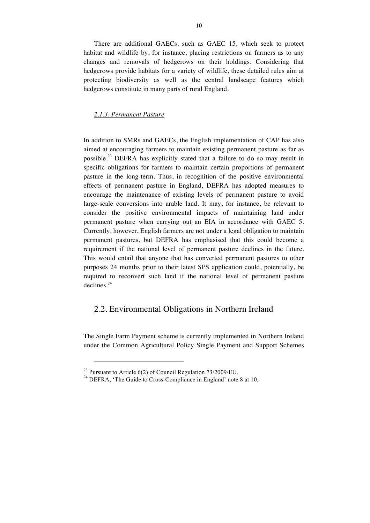There are additional GAECs, such as GAEC 15, which seek to protect habitat and wildlife by, for instance, placing restrictions on farmers as to any changes and removals of hedgerows on their holdings. Considering that hedgerows provide habitats for a variety of wildlife, these detailed rules aim at protecting biodiversity as well as the central landscape features which hedgerows constitute in many parts of rural England.

#### *2.1.3. Permanent Pasture*

In addition to SMRs and GAECs, the English implementation of CAP has also aimed at encouraging farmers to maintain existing permanent pasture as far as possible.<sup>23</sup> DEFRA has explicitly stated that a failure to do so may result in specific obligations for farmers to maintain certain proportions of permanent pasture in the long-term. Thus, in recognition of the positive environmental effects of permanent pasture in England, DEFRA has adopted measures to encourage the maintenance of existing levels of permanent pasture to avoid large-scale conversions into arable land. It may, for instance, be relevant to consider the positive environmental impacts of maintaining land under permanent pasture when carrying out an EIA in accordance with GAEC 5. Currently, however, English farmers are not under a legal obligation to maintain permanent pastures, but DEFRA has emphasised that this could become a requirement if the national level of permanent pasture declines in the future. This would entail that anyone that has converted permanent pastures to other purposes 24 months prior to their latest SPS application could, potentially, be required to reconvert such land if the national level of permanent pasture declines.<sup>24</sup>

## 2.2. Environmental Obligations in Northern Ireland

The Single Farm Payment scheme is currently implemented in Northern Ireland under the Common Agricultural Policy Single Payment and Support Schemes

<sup>&</sup>lt;sup>23</sup> Pursuant to Article 6(2) of Council Regulation  $73/2009/EU$ .<br><sup>24</sup> DEFRA, 'The Guide to Cross-Compliance in England' note 8 at 10.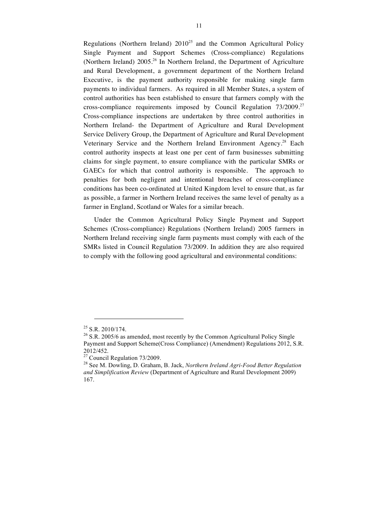Regulations (Northern Ireland)  $2010^{25}$  and the Common Agricultural Policy Single Payment and Support Schemes (Cross-compliance) Regulations (Northern Ireland)  $2005<sup>26</sup>$  In Northern Ireland, the Department of Agriculture and Rural Development, a government department of the Northern Ireland Executive, is the payment authority responsible for making single farm payments to individual farmers. As required in all Member States, a system of control authorities has been established to ensure that farmers comply with the cross-compliance requirements imposed by Council Regulation  $73/2009$ <sup>27</sup> Cross-compliance inspections are undertaken by three control authorities in Northern Ireland- the Department of Agriculture and Rural Development Service Delivery Group, the Department of Agriculture and Rural Development Veterinary Service and the Northern Ireland Environment Agency.<sup>28</sup> Each control authority inspects at least one per cent of farm businesses submitting claims for single payment, to ensure compliance with the particular SMRs or GAECs for which that control authority is responsible. The approach to penalties for both negligent and intentional breaches of cross-compliance conditions has been co-ordinated at United Kingdom level to ensure that, as far as possible, a farmer in Northern Ireland receives the same level of penalty as a farmer in England, Scotland or Wales for a similar breach.

Under the Common Agricultural Policy Single Payment and Support Schemes (Cross-compliance) Regulations (Northern Ireland) 2005 farmers in Northern Ireland receiving single farm payments must comply with each of the SMRs listed in Council Regulation 73/2009. In addition they are also required to comply with the following good agricultural and environmental conditions:

<sup>&</sup>lt;sup>25</sup> S.R. 2010/174.<br><sup>26</sup> S.R. 2005/6 as amended, most recently by the Common Agricultural Policy Single Payment and Support Scheme(Cross Compliance) (Amendment) Regulations 2012, S.R. 2012/452.<br><sup>27</sup> Council Regulation 73/2009.

<sup>&</sup>lt;sup>28</sup> See M. Dowling, D. Graham, B. Jack, *Northern Ireland Agri-Food Better Regulation and Simplification Review* (Department of Agriculture and Rural Development 2009) 167.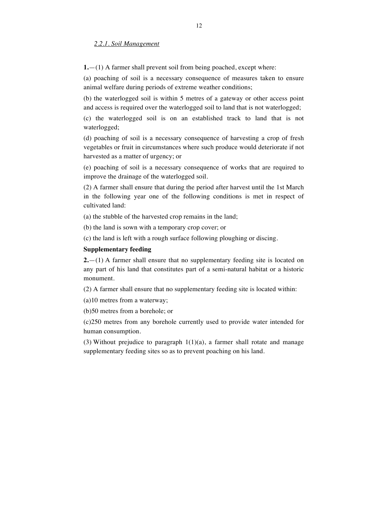#### *2.2.1. Soil Management*

**1.**—(1) A farmer shall prevent soil from being poached, except where:

(a) poaching of soil is a necessary consequence of measures taken to ensure animal welfare during periods of extreme weather conditions;

(b) the waterlogged soil is within 5 metres of a gateway or other access point and access is required over the waterlogged soil to land that is not waterlogged;

(c) the waterlogged soil is on an established track to land that is not waterlogged;

(d) poaching of soil is a necessary consequence of harvesting a crop of fresh vegetables or fruit in circumstances where such produce would deteriorate if not harvested as a matter of urgency; or

(e) poaching of soil is a necessary consequence of works that are required to improve the drainage of the waterlogged soil.

(2) A farmer shall ensure that during the period after harvest until the 1st March in the following year one of the following conditions is met in respect of cultivated land:

(a) the stubble of the harvested crop remains in the land;

(b) the land is sown with a temporary crop cover; or

(c) the land is left with a rough surface following ploughing or discing.

#### **Supplementary feeding**

**2.**—(1) A farmer shall ensure that no supplementary feeding site is located on any part of his land that constitutes part of a semi-natural habitat or a historic monument.

(2) A farmer shall ensure that no supplementary feeding site is located within:

(a)10 metres from a waterway;

(b)50 metres from a borehole; or

(c)250 metres from any borehole currently used to provide water intended for human consumption.

(3) Without prejudice to paragraph  $1(1)(a)$ , a farmer shall rotate and manage supplementary feeding sites so as to prevent poaching on his land.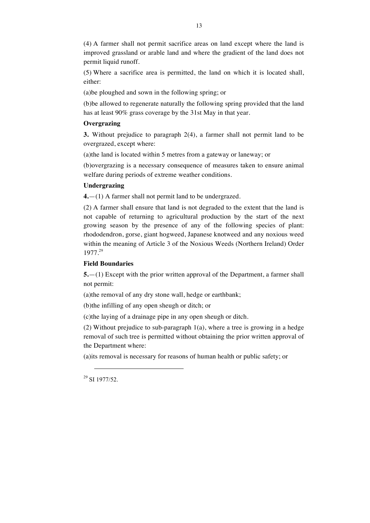(4) A farmer shall not permit sacrifice areas on land except where the land is improved grassland or arable land and where the gradient of the land does not permit liquid runoff.

(5) Where a sacrifice area is permitted, the land on which it is located shall, either:

(a)be ploughed and sown in the following spring; or

(b)be allowed to regenerate naturally the following spring provided that the land has at least 90% grass coverage by the 31st May in that year.

#### **Overgrazing**

**3.** Without prejudice to paragraph 2(4), a farmer shall not permit land to be overgrazed, except where:

(a)the land is located within 5 metres from a gateway or laneway; or

(b)overgrazing is a necessary consequence of measures taken to ensure animal welfare during periods of extreme weather conditions.

#### **Undergrazing**

**4.**—(1) A farmer shall not permit land to be undergrazed.

(2) A farmer shall ensure that land is not degraded to the extent that the land is not capable of returning to agricultural production by the start of the next growing season by the presence of any of the following species of plant: rhododendron, gorse, giant hogweed, Japanese knotweed and any noxious weed within the meaning of Article 3 of the Noxious Weeds (Northern Ireland) Order 1977.<sup>29</sup>

#### **Field Boundaries**

**5.**—(1) Except with the prior written approval of the Department, a farmer shall not permit:

(a)the removal of any dry stone wall, hedge or earthbank;

(b)the infilling of any open sheugh or ditch; or

(c)the laying of a drainage pipe in any open sheugh or ditch.

(2) Without prejudice to sub-paragraph 1(a), where a tree is growing in a hedge removal of such tree is permitted without obtaining the prior written approval of the Department where:

(a)its removal is necessary for reasons of human health or public safety; or

<sup>29</sup> SI 1977/52.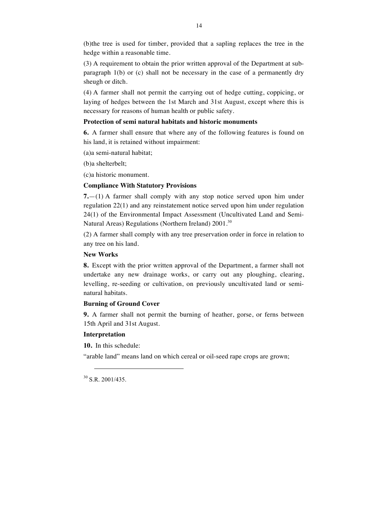(b)the tree is used for timber, provided that a sapling replaces the tree in the hedge within a reasonable time.

14

(3) A requirement to obtain the prior written approval of the Department at subparagraph 1(b) or (c) shall not be necessary in the case of a permanently dry sheugh or ditch.

(4) A farmer shall not permit the carrying out of hedge cutting, coppicing, or laying of hedges between the 1st March and 31st August, except where this is necessary for reasons of human health or public safety.

#### **Protection of semi natural habitats and historic monuments**

**6.** A farmer shall ensure that where any of the following features is found on his land, it is retained without impairment:

(a)a semi-natural habitat;

(b)a shelterbelt;

(c)a historic monument.

#### **Compliance With Statutory Provisions**

**7.**—(1) A farmer shall comply with any stop notice served upon him under regulation 22(1) and any reinstatement notice served upon him under regulation 24(1) of the Environmental Impact Assessment (Uncultivated Land and Semi-Natural Areas) Regulations (Northern Ireland) 2001.<sup>30</sup>

(2) A farmer shall comply with any tree preservation order in force in relation to any tree on his land.

### **New Works**

**8.** Except with the prior written approval of the Department, a farmer shall not undertake any new drainage works, or carry out any ploughing, clearing, levelling, re-seeding or cultivation, on previously uncultivated land or seminatural habitats.

### **Burning of Ground Cover**

**9.** A farmer shall not permit the burning of heather, gorse, or ferns between 15th April and 31st August.

#### **Interpretation**

**10.** In this schedule:

"arable land" means land on which cereal or oil-seed rape crops are grown;

 $30$  S.R. 2001/435.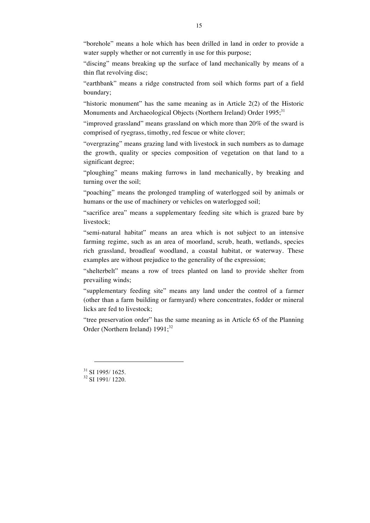"borehole" means a hole which has been drilled in land in order to provide a water supply whether or not currently in use for this purpose;

"discing" means breaking up the surface of land mechanically by means of a thin flat revolving disc;

"earthbank" means a ridge constructed from soil which forms part of a field boundary;

"historic monument" has the same meaning as in Article 2(2) of the Historic Monuments and Archaeological Objects (Northern Ireland) Order 1995;<sup>31</sup>

"improved grassland" means grassland on which more than 20% of the sward is comprised of ryegrass, timothy, red fescue or white clover;

"overgrazing" means grazing land with livestock in such numbers as to damage the growth, quality or species composition of vegetation on that land to a significant degree;

"ploughing" means making furrows in land mechanically, by breaking and turning over the soil;

"poaching" means the prolonged trampling of waterlogged soil by animals or humans or the use of machinery or vehicles on waterlogged soil;

"sacrifice area" means a supplementary feeding site which is grazed bare by livestock;

"semi-natural habitat" means an area which is not subject to an intensive farming regime, such as an area of moorland, scrub, heath, wetlands, species rich grassland, broadleaf woodland, a coastal habitat, or waterway. These examples are without prejudice to the generality of the expression;

"shelterbelt" means a row of trees planted on land to provide shelter from prevailing winds;

"supplementary feeding site" means any land under the control of a farmer (other than a farm building or farmyard) where concentrates, fodder or mineral licks are fed to livestock;

"tree preservation order" has the same meaning as in Article 65 of the Planning Order (Northern Ireland)  $1991$ ;<sup>32</sup>

 $\frac{31}{32}$  SI 1995/1625.<br> $\frac{32}{32}$  SI 1991/1220.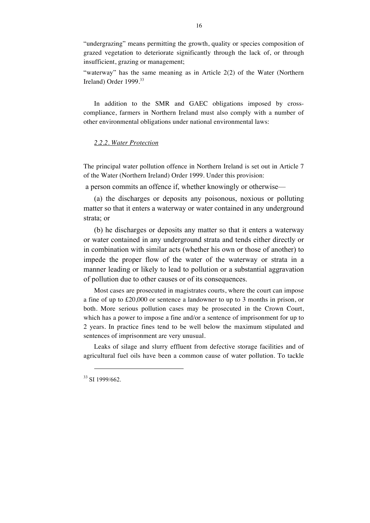"undergrazing" means permitting the growth, quality or species composition of grazed vegetation to deteriorate significantly through the lack of, or through insufficient, grazing or management;

"waterway" has the same meaning as in Article 2(2) of the Water (Northern Ireland) Order 1999.<sup>33</sup>

In addition to the SMR and GAEC obligations imposed by crosscompliance, farmers in Northern Ireland must also comply with a number of other environmental obligations under national environmental laws:

#### *2.2.2. Water Protection*

The principal water pollution offence in Northern Ireland is set out in Article 7 of the Water (Northern Ireland) Order 1999. Under this provision:

a person commits an offence if, whether knowingly or otherwise—

(a) the discharges or deposits any poisonous, noxious or polluting matter so that it enters a waterway or water contained in any underground strata; or

(b) he discharges or deposits any matter so that it enters a waterway or water contained in any underground strata and tends either directly or in combination with similar acts (whether his own or those of another) to impede the proper flow of the water of the waterway or strata in a manner leading or likely to lead to pollution or a substantial aggravation of pollution due to other causes or of its consequences.

Most cases are prosecuted in magistrates courts, where the court can impose a fine of up to £20,000 or sentence a landowner to up to 3 months in prison, or both. More serious pollution cases may be prosecuted in the Crown Court, which has a power to impose a fine and/or a sentence of imprisonment for up to 2 years. In practice fines tend to be well below the maximum stipulated and sentences of imprisonment are very unusual.

Leaks of silage and slurry effluent from defective storage facilities and of agricultural fuel oils have been a common cause of water pollution. To tackle

<sup>33</sup> SI 1999/662.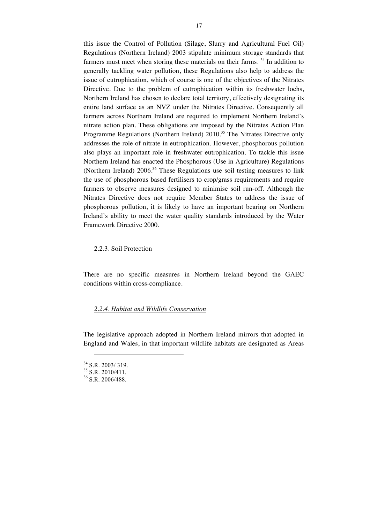this issue the Control of Pollution (Silage, Slurry and Agricultural Fuel Oil) Regulations (Northern Ireland) 2003 stipulate minimum storage standards that farmers must meet when storing these materials on their farms.  $34$  In addition to generally tackling water pollution, these Regulations also help to address the issue of eutrophication, which of course is one of the objectives of the Nitrates Directive. Due to the problem of eutrophication within its freshwater lochs, Northern Ireland has chosen to declare total territory, effectively designating its entire land surface as an NVZ under the Nitrates Directive. Consequently all farmers across Northern Ireland are required to implement Northern Ireland's nitrate action plan. These obligations are imposed by the Nitrates Action Plan Programme Regulations (Northern Ireland) 2010.<sup>35</sup> The Nitrates Directive only addresses the role of nitrate in eutrophication. However, phosphorous pollution also plays an important role in freshwater eutrophication. To tackle this issue Northern Ireland has enacted the Phosphorous (Use in Agriculture) Regulations (Northern Ireland)  $2006<sup>36</sup>$  These Regulations use soil testing measures to link the use of phosphorous based fertilisers to crop/grass requirements and require farmers to observe measures designed to minimise soil run-off. Although the Nitrates Directive does not require Member States to address the issue of phosphorous pollution, it is likely to have an important bearing on Northern Ireland's ability to meet the water quality standards introduced by the Water Framework Directive 2000.

#### 2.2.3. Soil Protection

There are no specific measures in Northern Ireland beyond the GAEC conditions within cross-compliance.

#### *2.2.4. Habitat and Wildlife Conservation*

The legislative approach adopted in Northern Ireland mirrors that adopted in England and Wales, in that important wildlife habitats are designated as Areas

 $\frac{34}{35}$  S.R. 2003/319.<br> $\frac{35}{36}$  S.R. 2010/411.<br> $\frac{36}{36}$  S.R. 2006/488.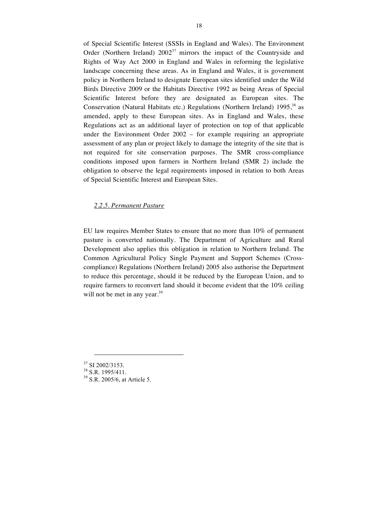of Special Scientific Interest (SSSIs in England and Wales). The Environment Order (Northern Ireland)  $2002^{37}$  mirrors the impact of the Countryside and Rights of Way Act 2000 in England and Wales in reforming the legislative landscape concerning these areas. As in England and Wales, it is government policy in Northern Ireland to designate European sites identified under the Wild Birds Directive 2009 or the Habitats Directive 1992 as being Areas of Special Scientific Interest before they are designated as European sites. The Conservation (Natural Habitats etc.) Regulations (Northern Ireland)  $1995<sup>38</sup>$  as amended, apply to these European sites. As in England and Wales, these Regulations act as an additional layer of protection on top of that applicable under the Environment Order 2002 – for example requiring an appropriate assessment of any plan or project likely to damage the integrity of the site that is not required for site conservation purposes. The SMR cross-compliance conditions imposed upon farmers in Northern Ireland (SMR 2) include the obligation to observe the legal requirements imposed in relation to both Areas of Special Scientific Interest and European Sites.

#### *2.2.5. Permanent Pasture*

EU law requires Member States to ensure that no more than 10% of permanent pasture is converted nationally. The Department of Agriculture and Rural Development also applies this obligation in relation to Northern Ireland. The Common Agricultural Policy Single Payment and Support Schemes (Crosscompliance) Regulations (Northern Ireland) 2005 also authorise the Department to reduce this percentage, should it be reduced by the European Union, and to require farmers to reconvert land should it become evident that the 10% ceiling will not be met in any year.<sup>39</sup>

<sup>&</sup>lt;sup>37</sup> SI 2002/3153.<br><sup>38</sup> S.R. 1995/411.<br><sup>39</sup> S.R. 2005/6, at Article 5.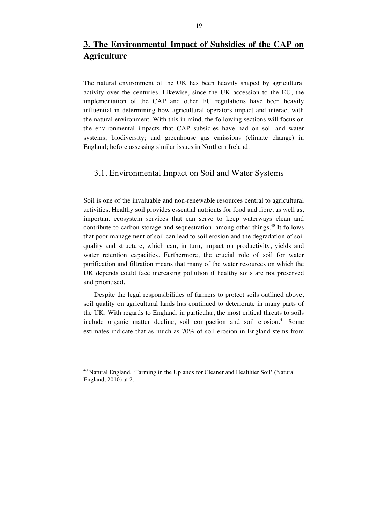# **3. The Environmental Impact of Subsidies of the CAP on Agriculture**

The natural environment of the UK has been heavily shaped by agricultural activity over the centuries. Likewise, since the UK accession to the EU, the implementation of the CAP and other EU regulations have been heavily influential in determining how agricultural operators impact and interact with the natural environment. With this in mind, the following sections will focus on the environmental impacts that CAP subsidies have had on soil and water systems; biodiversity; and greenhouse gas emissions (climate change) in England; before assessing similar issues in Northern Ireland.

## 3.1. Environmental Impact on Soil and Water Systems

Soil is one of the invaluable and non-renewable resources central to agricultural activities. Healthy soil provides essential nutrients for food and fibre, as well as, important ecosystem services that can serve to keep waterways clean and contribute to carbon storage and sequestration, among other things.<sup>40</sup> It follows that poor management of soil can lead to soil erosion and the degradation of soil quality and structure, which can, in turn, impact on productivity, yields and water retention capacities. Furthermore, the crucial role of soil for water purification and filtration means that many of the water resources on which the UK depends could face increasing pollution if healthy soils are not preserved and prioritised.

Despite the legal responsibilities of farmers to protect soils outlined above, soil quality on agricultural lands has continued to deteriorate in many parts of the UK. With regards to England, in particular, the most critical threats to soils include organic matter decline, soil compaction and soil erosion.<sup>41</sup> Some estimates indicate that as much as 70% of soil erosion in England stems from

<sup>40</sup> Natural England, 'Farming in the Uplands for Cleaner and Healthier Soil' (Natural England, 2010) at 2.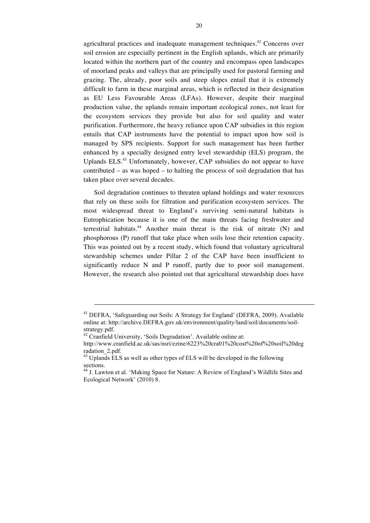agricultural practices and inadequate management techniques.<sup>42</sup> Concerns over soil erosion are especially pertinent in the English uplands, which are primarily located within the northern part of the country and encompass open landscapes of moorland peaks and valleys that are principally used for pastoral farming and grazing. The, already, poor soils and steep slopes entail that it is extremely difficult to farm in these marginal areas, which is reflected in their designation as EU Less Favourable Areas (LFAs). However, despite their marginal production value, the uplands remain important ecological zones, not least for the ecosystem services they provide but also for soil quality and water purification. Furthermore, the heavy reliance upon CAP subsidies in this region entails that CAP instruments have the potential to impact upon how soil is managed by SPS recipients. Support for such management has been further enhanced by a specially designed entry level stewardship (ELS) program, the Uplands ELS.<sup>43</sup> Unfortunately, however, CAP subsidies do not appear to have contributed – as was hoped – to halting the process of soil degradation that has taken place over several decades.

Soil degradation continues to threaten upland holdings and water resources that rely on these soils for filtration and purification ecosystem services. The most widespread threat to England's surviving semi-natural habitats is Eutrophication because it is one of the main threats facing freshwater and terrestrial habitats.<sup>44</sup> Another main threat is the risk of nitrate  $(N)$  and phosphorous (P) runoff that take place when soils lose their retention capacity. This was pointed out by a recent study, which found that voluntary agricultural stewardship schemes under Pillar 2 of the CAP have been insufficient to significantly reduce N and P runoff, partly due to poor soil management. However, the research also pointed out that agricultural stewardship does have

<u>.</u>

<sup>&</sup>lt;sup>41</sup> DEFRA, 'Safeguarding our Soils: A Strategy for England' (DEFRA, 2009). Available online at: http://archive.DEFRA.gov.uk/environment/quality/land/soil/documents/soilstrategy.pdf.

 $42$  Cranfield University, 'Soils Degradation'. Available online at:

http://www.cranfield.ac.uk/sas/nsri/ezine/6223%20cra01%20cost%20of%20soil%20deg radation\_2.pdf.

 $^{43}$  Uplands ELS as well as other types of ELS will be developed in the following sections.

<sup>&</sup>lt;sup>44</sup> J. Lawton et al. 'Making Space for Nature: A Review of England's Wildlife Sites and Ecological Network' (2010) 8.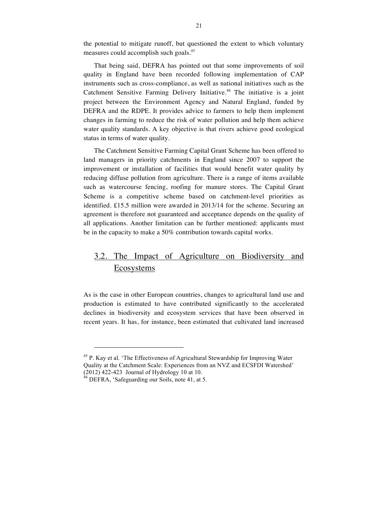the potential to mitigate runoff, but questioned the extent to which voluntary measures could accomplish such goals.<sup>45</sup>

That being said, DEFRA has pointed out that some improvements of soil quality in England have been recorded following implementation of CAP instruments such as cross-compliance, as well as national initiatives such as the Catchment Sensitive Farming Delivery Initiative.<sup>46</sup> The initiative is a joint project between the Environment Agency and Natural England, funded by DEFRA and the RDPE. It provides advice to farmers to help them implement changes in farming to reduce the risk of water pollution and help them achieve water quality standards. A key objective is that rivers achieve good ecological status in terms of water quality.

The Catchment Sensitive Farming Capital Grant Scheme has been offered to land managers in priority catchments in England since 2007 to support the improvement or installation of facilities that would benefit water quality by reducing diffuse pollution from agriculture. There is a range of items available such as watercourse fencing, roofing for manure stores. The Capital Grant Scheme is a competitive scheme based on catchment-level priorities as identified. £15.5 million were awarded in 2013/14 for the scheme. Securing an agreement is therefore not guaranteed and acceptance depends on the quality of all applications. Another limitation can be further mentioned: applicants must be in the capacity to make a 50% contribution towards capital works.

# 3.2. The Impact of Agriculture on Biodiversity and Ecosystems

As is the case in other European countries, changes to agricultural land use and production is estimated to have contributed significantly to the accelerated declines in biodiversity and ecosystem services that have been observed in recent years. It has, for instance, been estimated that cultivated land increased

<sup>&</sup>lt;sup>45</sup> P. Kay et al. 'The Effectiveness of Agricultural Stewardship for Improving Water Quality at the Catchment Scale: Experiences from an NVZ and ECSFDI Watershed' (2012) 422-423 Journal of Hydrology 10 at 10. <sup>46</sup> DEFRA, 'Safeguarding our Soils, note 41, at 5.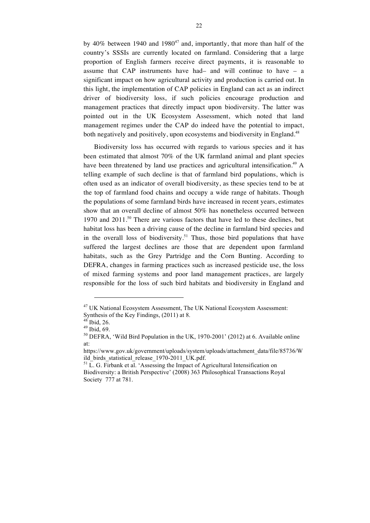by 40% between 1940 and  $1980^{47}$  and, importantly, that more than half of the country's SSSIs are currently located on farmland. Considering that a large proportion of English farmers receive direct payments, it is reasonable to assume that CAP instruments have had– and will continue to have – a significant impact on how agricultural activity and production is carried out. In this light, the implementation of CAP policies in England can act as an indirect driver of biodiversity loss, if such policies encourage production and management practices that directly impact upon biodiversity. The latter was pointed out in the UK Ecosystem Assessment, which noted that land management regimes under the CAP do indeed have the potential to impact, both negatively and positively, upon ecosystems and biodiversity in England.<sup>48</sup>

Biodiversity loss has occurred with regards to various species and it has been estimated that almost 70% of the UK farmland animal and plant species have been threatened by land use practices and agricultural intensification.<sup>49</sup> A telling example of such decline is that of farmland bird populations, which is often used as an indicator of overall biodiversity, as these species tend to be at the top of farmland food chains and occupy a wide range of habitats. Though the populations of some farmland birds have increased in recent years, estimates show that an overall decline of almost 50% has nonetheless occurred between 1970 and  $2011$ .<sup>50</sup> There are various factors that have led to these declines, but habitat loss has been a driving cause of the decline in farmland bird species and in the overall loss of biodiversity.<sup>51</sup> Thus, those bird populations that have suffered the largest declines are those that are dependent upon farmland habitats, such as the Grey Partridge and the Corn Bunting. According to DEFRA, changes in farming practices such as increased pesticide use, the loss of mixed farming systems and poor land management practices, are largely responsible for the loss of such bird habitats and biodiversity in England and

<sup>&</sup>lt;sup>47</sup> UK National Ecosystem Assessment, The UK National Ecosystem Assessment: Synthesis of the Key Findings, (2011) at 8.

<sup>&</sup>lt;sup>48</sup> Ibid, 26.<br><sup>49</sup> Ibid, 69.<br><sup>50</sup> DEFRA, 'Wild Bird Population in the UK, 1970-2001' (2012) at 6. Available online at:

https://www.gov.uk/government/uploads/system/uploads/attachment\_data/file/85736/W ild\_birds\_statistical\_release\_1970-2011\_UK.pdf. <sup>51</sup> L. G. Firbank et al. 'Assessing the Impact of Agricultural Intensification on

Biodiversity: a British Perspective' (2008) 363 Philosophical Transactions Royal Society 777 at 781.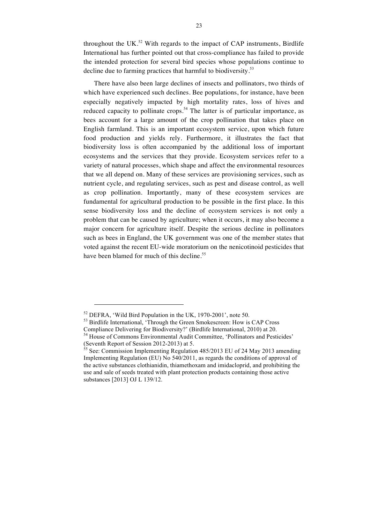throughout the UK.<sup>52</sup> With regards to the impact of CAP instruments, Birdlife International has further pointed out that cross-compliance has failed to provide the intended protection for several bird species whose populations continue to decline due to farming practices that harmful to biodiversity.<sup>53</sup>

There have also been large declines of insects and pollinators, two thirds of which have experienced such declines. Bee populations, for instance, have been especially negatively impacted by high mortality rates, loss of hives and reduced capacity to pollinate crops.<sup>54</sup> The latter is of particular importance, as bees account for a large amount of the crop pollination that takes place on English farmland. This is an important ecosystem service, upon which future food production and yields rely. Furthermore, it illustrates the fact that biodiversity loss is often accompanied by the additional loss of important ecosystems and the services that they provide. Ecosystem services refer to a variety of natural processes, which shape and affect the environmental resources that we all depend on. Many of these services are provisioning services, such as nutrient cycle, and regulating services, such as pest and disease control, as well as crop pollination. Importantly, many of these ecosystem services are fundamental for agricultural production to be possible in the first place. In this sense biodiversity loss and the decline of ecosystem services is not only a problem that can be caused by agriculture; when it occurs, it may also become a major concern for agriculture itself. Despite the serious decline in pollinators such as bees in England, the UK government was one of the member states that voted against the recent EU-wide moratorium on the nenicotinoid pesticides that have been blamed for much of this decline.<sup>55</sup>

 $52$  DEFRA, 'Wild Bird Population in the UK, 1970-2001', note 50.<br> $53$  Birdlife International, 'Through the Green Smokescreen: How is CAP Cross Compliance Delivering for Biodiversity?' (Birdlife International, 2010) at 20. <sup>54</sup> House of Commons Environmental Audit Committee, 'Pollinators and Pesticides'

<sup>(</sup>Seventh Report of Session 2012-2013) at 5.<br><sup>55</sup> See: Commission Implementing Regulation 485/2013 EU of 24 May 2013 amending Implementing Regulation (EU) No 540/2011, as regards the conditions of approval of the active substances clothianidin, thiamethoxam and imidacloprid, and prohibiting the use and sale of seeds treated with plant protection products containing those active substances [2013] OJ L 139/12.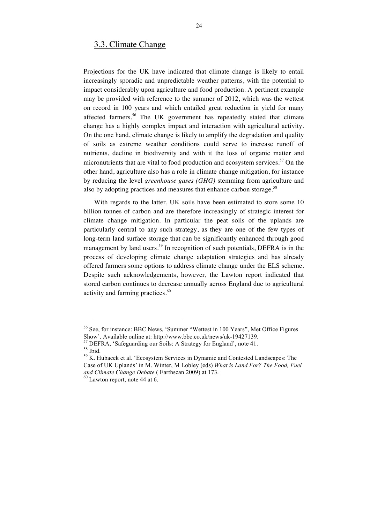### 3.3. Climate Change

Projections for the UK have indicated that climate change is likely to entail increasingly sporadic and unpredictable weather patterns, with the potential to impact considerably upon agriculture and food production. A pertinent example may be provided with reference to the summer of 2012, which was the wettest on record in 100 years and which entailed great reduction in yield for many affected farmers.<sup>56</sup> The UK government has repeatedly stated that climate change has a highly complex impact and interaction with agricultural activity. On the one hand, climate change is likely to amplify the degradation and quality of soils as extreme weather conditions could serve to increase runoff of nutrients, decline in biodiversity and with it the loss of organic matter and micronutrients that are vital to food production and ecosystem services.<sup>57</sup> On the other hand, agriculture also has a role in climate change mitigation, for instance by reducing the level *greenhouse gases (GHG)* stemming from agriculture and also by adopting practices and measures that enhance carbon storage.<sup>58</sup>

With regards to the latter, UK soils have been estimated to store some 10 billion tonnes of carbon and are therefore increasingly of strategic interest for climate change mitigation. In particular the peat soils of the uplands are particularly central to any such strategy, as they are one of the few types of long-term land surface storage that can be significantly enhanced through good management by land users.<sup>59</sup> In recognition of such potentials, DEFRA is in the process of developing climate change adaptation strategies and has already offered farmers some options to address climate change under the ELS scheme. Despite such acknowledgements, however, the Lawton report indicated that stored carbon continues to decrease annually across England due to agricultural activity and farming practices.<sup>60</sup>

<sup>&</sup>lt;sup>56</sup> See, for instance: BBC News, 'Summer "Wettest in 100 Years", Met Office Figures Show'. Available online at: http://www.bbc.co.uk/news/uk-19427139.

<sup>&</sup>lt;sup>57</sup> DEFRA, 'Safeguarding our Soils: A Strategy for England', note 41.<br><sup>58</sup> Ibid.<br><sup>59</sup> K. Hubacek et al. 'Ecosystem Services in Dynamic and Contested Landscapes: The

Case of UK Uplands' in M. Winter, M Lobley (eds) *What is Land For? The Food, Fuel and Climate Change Debate* ( Earthscan 2009) at 173. <sup>60</sup> Lawton report, note 44 at 6.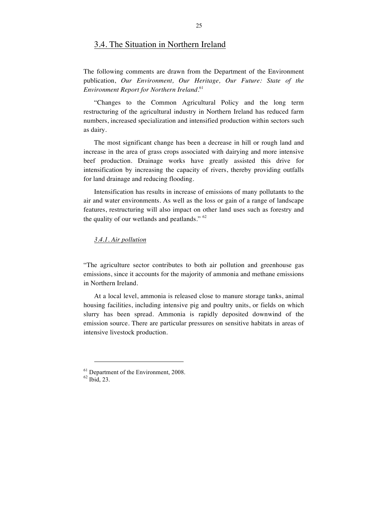### 3.4. The Situation in Northern Ireland

The following comments are drawn from the Department of the Environment publication, *Our Environment, Our Heritage, Our Future: State of the Environment Report for Northern Ireland*. 61

"Changes to the Common Agricultural Policy and the long term restructuring of the agricultural industry in Northern Ireland has reduced farm numbers, increased specialization and intensified production within sectors such as dairy.

The most significant change has been a decrease in hill or rough land and increase in the area of grass crops associated with dairying and more intensive beef production. Drainage works have greatly assisted this drive for intensification by increasing the capacity of rivers, thereby providing outfalls for land drainage and reducing flooding.

Intensification has results in increase of emissions of many pollutants to the air and water environments. As well as the loss or gain of a range of landscape features, restructuring will also impact on other land uses such as forestry and the quality of our wetlands and peatlands." <sup>62</sup>

#### *3.4.1. Air pollution*

"The agriculture sector contributes to both air pollution and greenhouse gas emissions, since it accounts for the majority of ammonia and methane emissions in Northern Ireland.

At a local level, ammonia is released close to manure storage tanks, animal housing facilities, including intensive pig and poultry units, or fields on which slurry has been spread. Ammonia is rapidly deposited downwind of the emission source. There are particular pressures on sensitive habitats in areas of intensive livestock production.

 $^{61}$  Department of the Environment, 2008.<br> $^{62}$  Ibid, 23.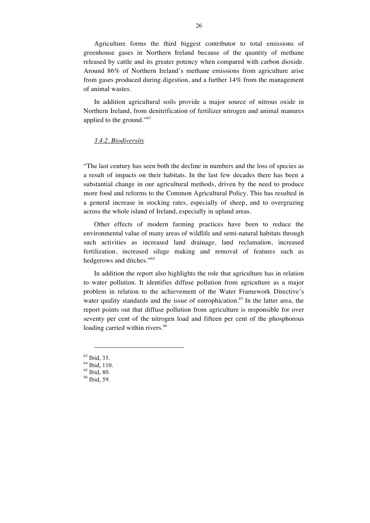Agriculture forms the third biggest contributor to total emissions of greenhouse gases in Northern Ireland because of the quantity of methane released by cattle and its greater potency when compared with carbon dioxide. Around 86% of Northern Ireland's methane emissions from agriculture arise from gases produced during digestion, and a further 14% from the management of animal wastes.

In addition agricultural soils provide a major source of nitrous oxide in Northern Ireland, from denitrification of fertilizer nitrogen and animal manures applied to the ground."<sup>63</sup>

#### *3.4.2. Biodiversity*

"The last century has seen both the decline in numbers and the loss of species as a result of impacts on their habitats. In the last few decades there has been a substantial change in our agricultural methods, driven by the need to produce more food and reforms to the Common Agricultural Policy. This has resulted in a general increase in stocking rates, especially of sheep, and to overgrazing across the whole island of Ireland, especially in upland areas.

Other effects of modern farming practices have been to reduce the environmental value of many areas of wildlife and semi-natural habitats through such activities as increased land drainage, land reclamation, increased fertilization, increased silage making and removal of features such as hedgerows and ditches."<sup>64</sup>

In addition the report also highlights the role that agriculture has in relation to water pollution. It identifies diffuse pollution from agriculture as a major problem in relation to the achievement of the Water Framework Directive's water quality standards and the issue of eutrophication.<sup>65</sup> In the latter area, the report points out that diffuse pollution from agriculture is responsible for over seventy per cent of the nitrogen load and fifteen per cent of the phosphorous loading carried within rivers.<sup>66</sup>

 $^{63}$  Ibid, 35.<br> $^{64}$  Ibid, 110.<br> $^{65}$  Ibid, 80.<br> $^{66}$  Ibid, 59.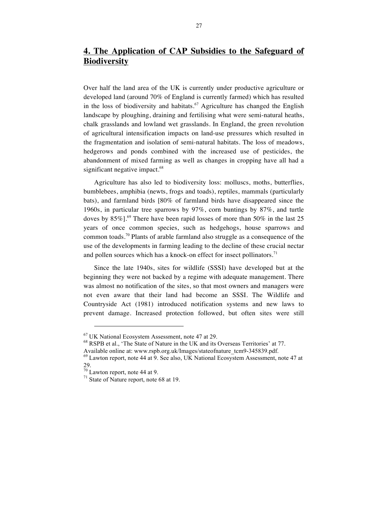# **4. The Application of CAP Subsidies to the Safeguard of Biodiversity**

Over half the land area of the UK is currently under productive agriculture or developed land (around 70% of England is currently farmed) which has resulted in the loss of biodiversity and habitats.<sup>67</sup> Agriculture has changed the English landscape by ploughing, draining and fertilising what were semi-natural heaths, chalk grasslands and lowland wet grasslands. In England, the green revolution of agricultural intensification impacts on land-use pressures which resulted in the fragmentation and isolation of semi-natural habitats. The loss of meadows, hedgerows and ponds combined with the increased use of pesticides, the abandonment of mixed farming as well as changes in cropping have all had a significant negative impact.<sup>68</sup>

Agriculture has also led to biodiversity loss: molluscs, moths, butterflies, bumblebees, amphibia (newts, frogs and toads), reptiles, mammals (particularly bats), and farmland birds [80% of farmland birds have disappeared since the 1960s, in particular tree sparrows by 97%, corn buntings by 87%, and turtle doves by  $85\%$ ].<sup>69</sup> There have been rapid losses of more than 50% in the last 25 years of once common species, such as hedgehogs, house sparrows and common toads.<sup>70</sup> Plants of arable farmland also struggle as a consequence of the use of the developments in farming leading to the decline of these crucial nectar and pollen sources which has a knock-on effect for insect pollinators.<sup>71</sup>

Since the late 1940s, sites for wildlife (SSSI) have developed but at the beginning they were not backed by a regime with adequate management. There was almost no notification of the sites, so that most owners and managers were not even aware that their land had become an SSSI. The Wildlife and Countryside Act (1981) introduced notification systems and new laws to prevent damage. Increased protection followed, but often sites were still

<sup>&</sup>lt;sup>67</sup> UK National Ecosystem Assessment, note 47 at 29.<br><sup>68</sup> RSPB et al., 'The State of Nature in the UK and its Overseas Territories' at 77.<br>Available online at: www.rspb.org.uk/Images/stateofnature tcm9-345839.pdf.

Available online at: www.rspb.org.uk/Images/state-incomentual Lagreene Assessment, note 47 at <sup>69</sup> Lawton report, note 44 at 9. See also, UK National Ecosystem Assessment, note 47 at 29.

 $^{70}$  Lawton report, note 44 at 9.<br><sup>71</sup> State of Nature report, note 68 at 19.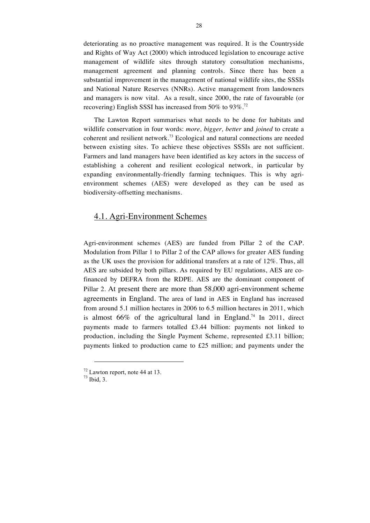deteriorating as no proactive management was required. It is the Countryside and Rights of Way Act (2000) which introduced legislation to encourage active management of wildlife sites through statutory consultation mechanisms, management agreement and planning controls. Since there has been a substantial improvement in the management of national wildlife sites, the SSSIs and National Nature Reserves (NNRs). Active management from landowners and managers is now vital. As a result, since 2000, the rate of favourable (or recovering) English SSSI has increased from 50% to 93%.<sup>72</sup>

The Lawton Report summarises what needs to be done for habitats and wildlife conservation in four words: *more, bigger, better* and *joined* to create a coherent and resilient network.<sup>73</sup> Ecological and natural connections are needed between existing sites. To achieve these objectives SSSIs are not sufficient. Farmers and land managers have been identified as key actors in the success of establishing a coherent and resilient ecological network, in particular by expanding environmentally-friendly farming techniques. This is why agrienvironment schemes (AES) were developed as they can be used as biodiversity-offsetting mechanisms.

## 4.1. Agri-Environment Schemes

Agri-environment schemes (AES) are funded from Pillar 2 of the CAP. Modulation from Pillar 1 to Pillar 2 of the CAP allows for greater AES funding as the UK uses the provision for additional transfers at a rate of 12%. Thus, all AES are subsided by both pillars. As required by EU regulations, AES are cofinanced by DEFRA from the RDPE. AES are the dominant component of Pillar 2. At present there are more than 58,000 agri-environment scheme agreements in England. The area of land in AES in England has increased from around 5.1 million hectares in 2006 to 6.5 million hectares in 2011, which is almost  $66\%$  of the agricultural land in England.<sup>74</sup> In 2011, direct payments made to farmers totalled £3.44 billion: payments not linked to production, including the Single Payment Scheme, represented £3.11 billion; payments linked to production came to £25 million; and payments under the

 $^{72}$  Lawton report, note 44 at 13.<br> $^{73}$  Ibid. 3.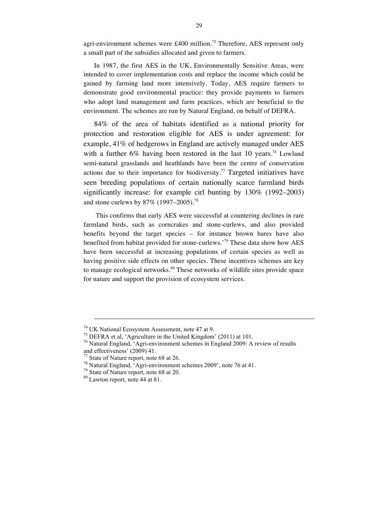agri-environment schemes were £400 million.<sup>75</sup> Therefore, AES represent only a small part of the subsidies allocated and given to farmers.

In 1987, the first AES in the UK, Environmentally Sensitive Areas, were intended to cover implementation costs and replace the income which could be gained by farming land more intensively. Today, AES require farmers to demonstrate good environmental practice: they provide payments to farmers who adopt land management and farm practices, which are beneficial to the environment. The schemes are run by Natural England, on behalf of DEFRA.

84% of the area of habitats identified as a national priority for protection and restoration eligible for AES is under agreement: for example, 41% of hedgerows in England are actively managed under AES with a further  $6\%$  having been restored in the last 10 years.<sup>76</sup> Lowland semi-natural grasslands and heathlands have been the centre of conservation actions due to their importance for biodiversity.<sup>77</sup> Targeted initiatives have seen breeding populations of certain nationally scarce farmland birds significantly increase: for example cirl bunting by 130% (1992–2003) and stone curlews by 87% (1997–2005).<sup>78</sup>

This confirms that early AES were successful at countering declines in rare farmland birds, such as corncrakes and stone-curlews, and also provided benefits beyond the target species – for instance brown hares have also benefited from habitat provided for stone-curlews.'<sup>79</sup> These data show how AES have been successful at increasing populations of certain species as well as having positive side effects on other species. These incentives schemes are key to manage ecological networks.<sup>80</sup> These networks of wildlife sites provide space for nature and support the provision of ecosystem services.

-

<sup>&</sup>lt;sup>74</sup> UK National Ecosystem Assessment, note 47 at 9.<br><sup>75</sup> DEFRA et al, 'Agriculture in the United Kingdom' (2011) at 101.<br><sup>76</sup> Natural England, 'Agri-environment schemes in England 2009: A review of results and effectiveness' (2009) 41.<br><sup>77</sup> State of Nature report, note 68 at 26.

<sup>&</sup>lt;sup>78</sup> Natural England, 'Agri-environment schemes 2009', note 76 at 41.<br><sup>79</sup> State of Nature report, note 68 at 20.<br><sup>80</sup> Lawton report, note 44 at 81.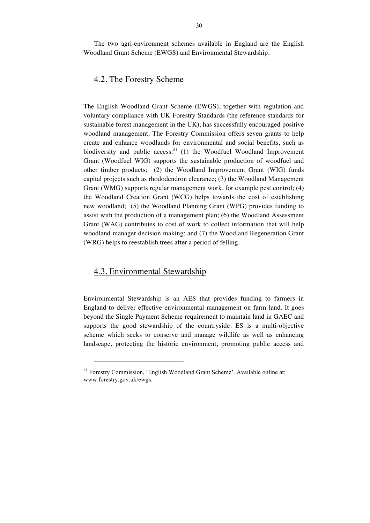The two agri-environment schemes available in England are the English Woodland Grant Scheme (EWGS) and Environmental Stewardship.

## 4.2. The Forestry Scheme

The English Woodland Grant Scheme (EWGS), together with regulation and voluntary compliance with UK Forestry Standards (the reference standards for sustainable forest management in the UK), has successfully encouraged positive woodland management. The Forestry Commission offers seven grants to help create and enhance woodlands for environmental and social benefits, such as biodiversity and public access: $81$  (1) the Woodfuel Woodland Improvement Grant (Woodfuel WIG) supports the sustainable production of woodfuel and other timber products; (2) the Woodland Improvement Grant (WIG) funds capital projects such as rhododendron clearance; (3) the Woodland Management Grant (WMG) supports regular management work, for example pest control; (4) the Woodland Creation Grant (WCG) helps towards the cost of establishing new woodland; (5) the Woodland Planning Grant (WPG) provides funding to assist with the production of a management plan; (6) the Woodland Assessment Grant (WAG) contributes to cost of work to collect information that will help woodland manager decision making; and (7) the Woodland Regeneration Grant (WRG) helps to reestablish trees after a period of felling.

## 4.3. Environmental Stewardship

 $\overline{a}$ 

Environmental Stewardship is an AES that provides funding to farmers in England to deliver effective environmental management on farm land. It goes beyond the Single Payment Scheme requirement to maintain land in GAEC and supports the good stewardship of the countryside. ES is a multi-objective scheme which seeks to conserve and manage wildlife as well as enhancing landscape, protecting the historic environment, promoting public access and

 $81$  Forestry Commission, 'English Woodland Grant Scheme'. Available online at: www.forestry.gov.uk/ewgs.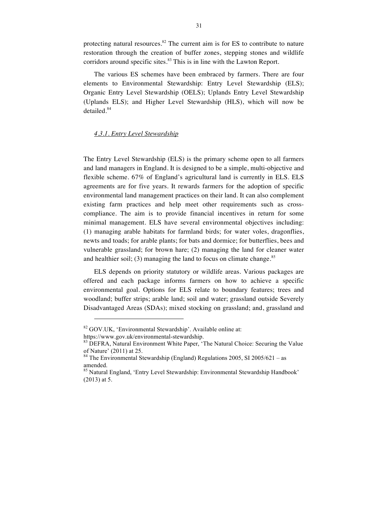protecting natural resources.<sup>82</sup> The current aim is for ES to contribute to nature restoration through the creation of buffer zones, stepping stones and wildlife corridors around specific sites.<sup>83</sup> This is in line with the Lawton Report.

The various ES schemes have been embraced by farmers. There are four elements to Environmental Stewardship: Entry Level Stewardship (ELS); Organic Entry Level Stewardship (OELS); Uplands Entry Level Stewardship (Uplands ELS); and Higher Level Stewardship (HLS), which will now be detailed.<sup>84</sup>

#### *4.3.1. Entry Level Stewardship*

The Entry Level Stewardship (ELS) is the primary scheme open to all farmers and land managers in England. It is designed to be a simple, multi-objective and flexible scheme. 67% of England's agricultural land is currently in ELS. ELS agreements are for five years. It rewards farmers for the adoption of specific environmental land management practices on their land. It can also complement existing farm practices and help meet other requirements such as crosscompliance. The aim is to provide financial incentives in return for some minimal management. ELS have several environmental objectives including: (1) managing arable habitats for farmland birds; for water voles, dragonflies, newts and toads; for arable plants; for bats and dormice; for butterflies, bees and vulnerable grassland; for brown hare; (2) managing the land for cleaner water and healthier soil; (3) managing the land to focus on climate change. $85$ 

ELS depends on priority statutory or wildlife areas. Various packages are offered and each package informs farmers on how to achieve a specific environmental goal. Options for ELS relate to boundary features; trees and woodland; buffer strips; arable land; soil and water; grassland outside Severely Disadvantaged Areas (SDAs); mixed stocking on grassland; and, grassland and

<sup>82</sup> GOV.UK, 'Environmental Stewardship'. Available online at:

https://www.gov.uk/environmental-stewardship.<br><sup>83</sup> DEFRA, Natural Environment White Paper, 'The Natural Choice: Securing the Value of Nature' (2011) at 25.

 $^{84}$  The Environmental Stewardship (England) Regulations 2005, SI 2005/621 – as amended.

<sup>&</sup>lt;sup>85</sup> Natural England, 'Entry Level Stewardship: Environmental Stewardship Handbook' (2013) at 5.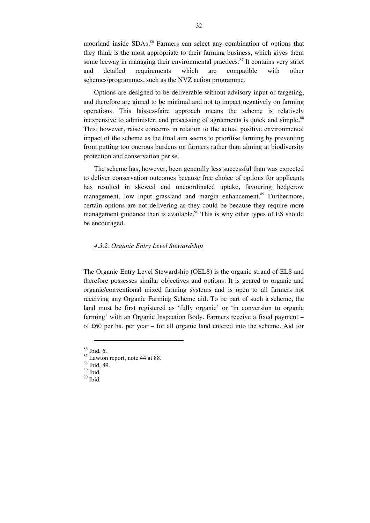moorland inside SDAs.<sup>86</sup> Farmers can select any combination of options that they think is the most appropriate to their farming business, which gives them some leeway in managing their environmental practices. $87$  It contains very strict and detailed requirements which are compatible with other schemes/programmes, such as the NVZ action programme.

Options are designed to be deliverable without advisory input or targeting, and therefore are aimed to be minimal and not to impact negatively on farming operations. This laissez-faire approach means the scheme is relatively inexpensive to administer, and processing of agreements is quick and simple.<sup>88</sup> This, however, raises concerns in relation to the actual positive environmental impact of the scheme as the final aim seems to prioritise farming by preventing from putting too onerous burdens on farmers rather than aiming at biodiversity protection and conservation per se.

The scheme has, however, been generally less successful than was expected to deliver conservation outcomes because free choice of options for applicants has resulted in skewed and uncoordinated uptake, favouring hedgerow management, low input grassland and margin enhancement.<sup>89</sup> Furthermore, certain options are not delivering as they could be because they require more management guidance than is available.<sup>90</sup> This is why other types of ES should be encouraged.

#### *4.3.2. Organic Entry Level Stewardship*

The Organic Entry Level Stewardship (OELS) is the organic strand of ELS and therefore possesses similar objectives and options. It is geared to organic and organic/conventional mixed farming systems and is open to all farmers not receiving any Organic Farming Scheme aid. To be part of such a scheme, the land must be first registered as 'fully organic' or 'in conversion to organic farming' with an Organic Inspection Body. Farmers receive a fixed payment – of £60 per ha, per year – for all organic land entered into the scheme. Aid for

 $\overline{a}$ 

<sup>&</sup>lt;sup>86</sup> Ibid, 6.<br><sup>87</sup> Lawton report, note 44 at 88.<br><sup>88</sup> Ibid. 89.<br><sup>90</sup> Ibid.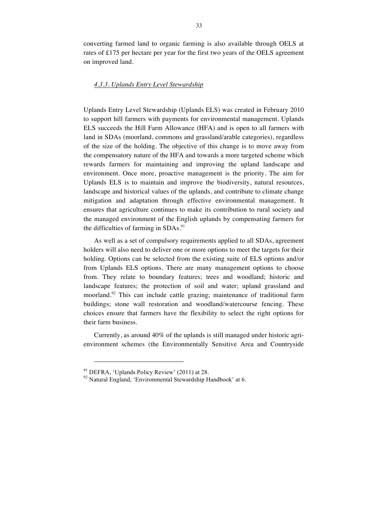converting farmed land to organic farming is also available through OELS at rates of £175 per hectare per year for the first two years of the OELS agreement on improved land.

#### *4.3.3. Uplands Entry Level Stewardship*

Uplands Entry Level Stewardship (Uplands ELS) was created in February 2010 to support hill farmers with payments for environmental management. Uplands ELS succeeds the Hill Farm Allowance (HFA) and is open to all farmers with land in SDAs (moorland, commons and grassland/arable categories), regardless of the size of the holding. The objective of this change is to move away from the compensatory nature of the HFA and towards a more targeted scheme which rewards farmers for maintaining and improving the upland landscape and environment. Once more, proactive management is the priority. The aim for Uplands ELS is to maintain and improve the biodiversity, natural resources, landscape and historical values of the uplands, and contribute to climate change mitigation and adaptation through effective environmental management. It ensures that agriculture continues to make its contribution to rural society and the managed environment of the English uplands by compensating farmers for the difficulties of farming in  $SDAs.<sup>91</sup>$ 

As well as a set of compulsory requirements applied to all SDAs, agreement holders will also need to deliver one or more options to meet the targets for their holding. Options can be selected from the existing suite of ELS options and/or from Uplands ELS options. There are many management options to choose from. They relate to boundary features; trees and woodland; historic and landscape features; the protection of soil and water; upland grassland and moorland.<sup>92</sup> This can include cattle grazing; maintenance of traditional farm buildings; stone wall restoration and woodland/watercourse fencing. These choices ensure that farmers have the flexibility to select the right options for their farm business.

Currently, as around 40% of the uplands is still managed under historic agrienvironment schemes (the Environmentally Sensitive Area and Countryside

<sup>&</sup>lt;sup>91</sup> DEFRA, 'Uplands Policy Review' (2011) at 28.<br><sup>92</sup> Natural England, 'Environmental Stewardship Handbook' at 6.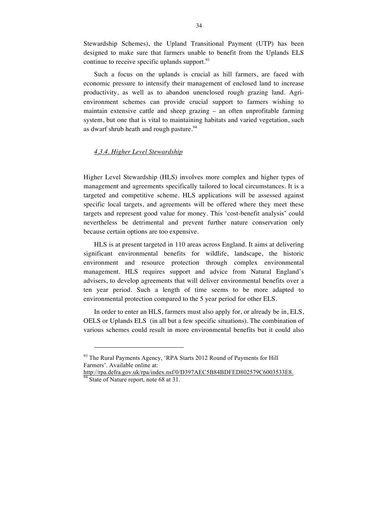Stewardship Schemes), the Upland Transitional Payment (UTP) has been designed to make sure that farmers unable to benefit from the Uplands ELS continue to receive specific uplands support. $93$ 

Such a focus on the uplands is crucial as hill farmers, are faced with economic pressure to intensify their management of enclosed land to increase productivity, as well as to abandon unenclosed rough grazing land. Agrienvironment schemes can provide crucial support to farmers wishing to maintain extensive cattle and sheep grazing – an often unprofitable farming system, but one that is vital to maintaining habitats and varied vegetation, such as dwarf shrub heath and rough pasture.<sup>94</sup>

#### *4.3.4. Higher Level Stewardship*

Higher Level Stewardship (HLS) involves more complex and higher types of management and agreements specifically tailored to local circumstances. It is a targeted and competitive scheme. HLS applications will be assessed against specific local targets, and agreements will be offered where they meet these targets and represent good value for money. This 'cost-benefit analysis' could nevertheless be detrimental and prevent further nature conservation only because certain options are too expensive.

HLS is at present targeted in 110 areas across England. It aims at delivering significant environmental benefits for wildlife, landscape, the historic environment and resource protection through complex environmental management. HLS requires support and advice from Natural England's advisers, to develop agreements that will deliver environmental benefits over a ten year period. Such a length of time seems to be more adapted to environmental protection compared to the 5 year period for other ELS.

In order to enter an HLS, farmers must also apply for, or already be in, ELS, OELS or Uplands ELS (in all but a few specific situations). The combination of various schemes could result in more environmental benefits but it could also

<sup>&</sup>lt;sup>93</sup> The Rural Payments Agency, 'RPA Starts 2012 Round of Payments for Hill Farmers'. Available online at:

http://rpa.defra.gov.uk/rpa/index.nsf/0/D397AEC5B84BDFED802579C6003533E8. <sup>94</sup> State of Nature report, note 68 at 31.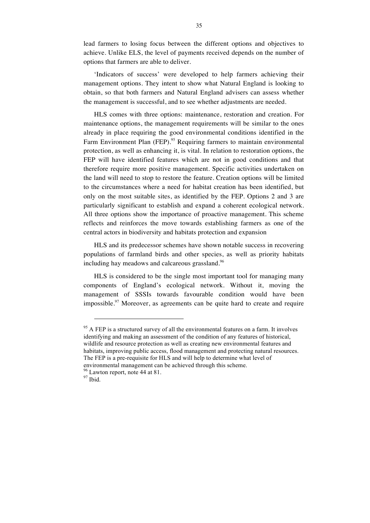lead farmers to losing focus between the different options and objectives to achieve. Unlike ELS, the level of payments received depends on the number of options that farmers are able to deliver.

'Indicators of success' were developed to help farmers achieving their management options. They intent to show what Natural England is looking to obtain, so that both farmers and Natural England advisers can assess whether the management is successful, and to see whether adjustments are needed.

HLS comes with three options: maintenance, restoration and creation. For maintenance options, the management requirements will be similar to the ones already in place requiring the good environmental conditions identified in the Farm Environment Plan (FEP).<sup>95</sup> Requiring farmers to maintain environmental protection, as well as enhancing it, is vital. In relation to restoration options, the FEP will have identified features which are not in good conditions and that therefore require more positive management. Specific activities undertaken on the land will need to stop to restore the feature. Creation options will be limited to the circumstances where a need for habitat creation has been identified, but only on the most suitable sites, as identified by the FEP. Options 2 and 3 are particularly significant to establish and expand a coherent ecological network. All three options show the importance of proactive management. This scheme reflects and reinforces the move towards establishing farmers as one of the central actors in biodiversity and habitats protection and expansion

HLS and its predecessor schemes have shown notable success in recovering populations of farmland birds and other species, as well as priority habitats including hay meadows and calcareous grassland.<sup>96</sup>

HLS is considered to be the single most important tool for managing many components of England's ecological network. Without it, moving the management of SSSIs towards favourable condition would have been impossible.<sup>97</sup> Moreover, as agreements can be quite hard to create and require

 $95$  A FEP is a structured survey of all the environmental features on a farm. It involves identifying and making an assessment of the condition of any features of historical, wildlife and resource protection as well as creating new environmental features and habitats, improving public access, flood management and protecting natural resources. The FEP is a pre-requisite for HLS and will help to determine what level of environmental management can be achieved through this scheme.

 $\frac{96}{97}$  Lawton report, note 44 at 81.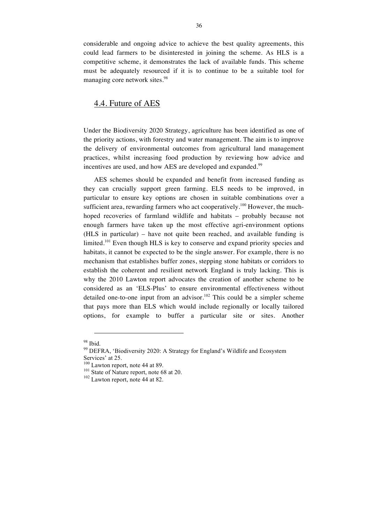considerable and ongoing advice to achieve the best quality agreements, this could lead farmers to be disinterested in joining the scheme. As HLS is a competitive scheme, it demonstrates the lack of available funds. This scheme must be adequately resourced if it is to continue to be a suitable tool for managing core network sites.<sup>98</sup>

## 4.4. Future of AES

Under the Biodiversity 2020 Strategy, agriculture has been identified as one of the priority actions, with forestry and water management. The aim is to improve the delivery of environmental outcomes from agricultural land management practices, whilst increasing food production by reviewing how advice and incentives are used, and how AES are developed and expanded.<sup>99</sup>

AES schemes should be expanded and benefit from increased funding as they can crucially support green farming. ELS needs to be improved, in particular to ensure key options are chosen in suitable combinations over a sufficient area, rewarding farmers who act cooperatively.<sup>100</sup> However, the muchhoped recoveries of farmland wildlife and habitats – probably because not enough farmers have taken up the most effective agri-environment options (HLS in particular) – have not quite been reached, and available funding is limited.<sup>101</sup> Even though HLS is key to conserve and expand priority species and habitats, it cannot be expected to be the single answer. For example, there is no mechanism that establishes buffer zones, stepping stone habitats or corridors to establish the coherent and resilient network England is truly lacking. This is why the 2010 Lawton report advocates the creation of another scheme to be considered as an 'ELS-Plus' to ensure environmental effectiveness without detailed one-to-one input from an advisor.<sup>102</sup> This could be a simpler scheme that pays more than ELS which would include regionally or locally tailored options, for example to buffer a particular site or sites. Another

<sup>&</sup>lt;sup>98</sup> Ibid.<br><sup>99</sup> DEFRA, 'Biodiversity 2020: A Strategy for England's Wildlife and Ecosystem Services' at 25.<br><sup>100</sup> Lawton report, note 44 at 89.<br><sup>101</sup> State of Nature report, note 68 at 20.<br><sup>102</sup> Lawton report, note 44 at 82.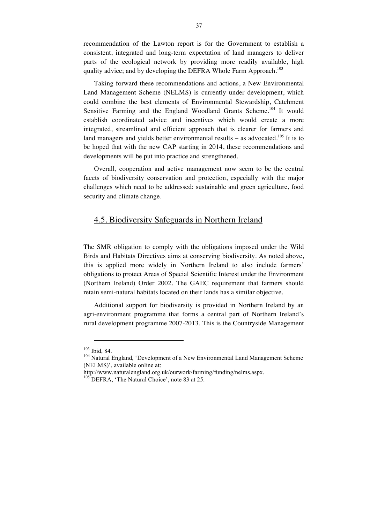recommendation of the Lawton report is for the Government to establish a consistent, integrated and long-term expectation of land managers to deliver parts of the ecological network by providing more readily available, high quality advice; and by developing the DEFRA Whole Farm Approach.<sup>103</sup>

Taking forward these recommendations and actions, a New Environmental Land Management Scheme (NELMS) is currently under development, which could combine the best elements of Environmental Stewardship, Catchment Sensitive Farming and the England Woodland Grants Scheme.<sup>104</sup> It would establish coordinated advice and incentives which would create a more integrated, streamlined and efficient approach that is clearer for farmers and land managers and yields better environmental results – as advocated.<sup>105</sup> It is to be hoped that with the new CAP starting in 2014, these recommendations and developments will be put into practice and strengthened.

Overall, cooperation and active management now seem to be the central facets of biodiversity conservation and protection, especially with the major challenges which need to be addressed: sustainable and green agriculture, food security and climate change.

### 4.5. Biodiversity Safeguards in Northern Ireland

The SMR obligation to comply with the obligations imposed under the Wild Birds and Habitats Directives aims at conserving biodiversity. As noted above, this is applied more widely in Northern Ireland to also include farmers' obligations to protect Areas of Special Scientific Interest under the Environment (Northern Ireland) Order 2002. The GAEC requirement that farmers should retain semi-natural habitats located on their lands has a similar objective.

Additional support for biodiversity is provided in Northern Ireland by an agri-environment programme that forms a central part of Northern Ireland's rural development programme 2007-2013. This is the Countryside Management

 $\overline{a}$ 

<sup>&</sup>lt;sup>103</sup> Ibid, 84.<br><sup>104</sup> Natural England, 'Development of a New Environmental Land Management Scheme (NELMS)', available online at:

http://www.naturalengland.org.uk/ourwork/farming/funding/nelms.aspx. <sup>105</sup> DEFRA, 'The Natural Choice', note 83 at 25.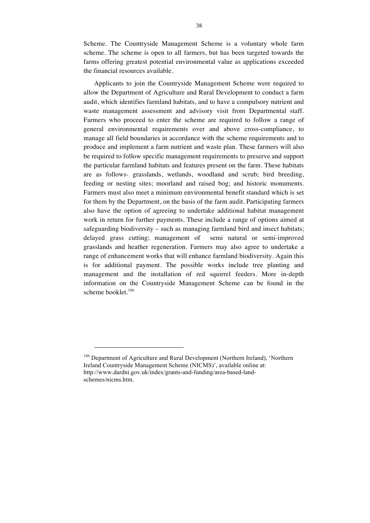Scheme. The Countryside Management Scheme is a voluntary whole farm scheme. The scheme is open to all farmers, but has been targeted towards the farms offering greatest potential environmental value as applications exceeded the financial resources available.

Applicants to join the Countryside Management Scheme were required to allow the Department of Agriculture and Rural Development to conduct a farm audit, which identifies farmland habitats, and to have a compulsory nutrient and waste management assessment and advisory visit from Departmental staff. Farmers who proceed to enter the scheme are required to follow a range of general environmental requirements over and above cross-compliance, to manage all field boundaries in accordance with the scheme requirements and to produce and implement a farm nutrient and waste plan. These farmers will also be required to follow specific management requirements to preserve and support the particular farmland habitats and features present on the farm. These habitats are as follows- grasslands, wetlands, woodland and scrub; bird breeding, feeding or nesting sites; moorland and raised bog; and historic monuments. Farmers must also meet a minimum environmental benefit standard which is set for them by the Department, on the basis of the farm audit. Participating farmers also have the option of agreeing to undertake additional habitat management work in return for further payments. These include a range of options aimed at safeguarding biodiversity – such as managing farmland bird and insect habitats; delayed grass cutting; management of semi natural or semi-improved grasslands and heather regeneration. Farmers may also agree to undertake a range of enhancement works that will enhance farmland biodiversity. Again this is for additional payment. The possible works include tree planting and management and the installation of red squirrel feeders. More in-depth information on the Countryside Management Scheme can be found in the scheme booklet. $106$ 

<sup>106</sup> Department of Agriculture and Rural Development (Northern Ireland), 'Northern Ireland Countryside Management Scheme (NICMS)', available online at: http://www.dardni.gov.uk/index/grants-and-funding/area-based-landschemes/nicms.htm.